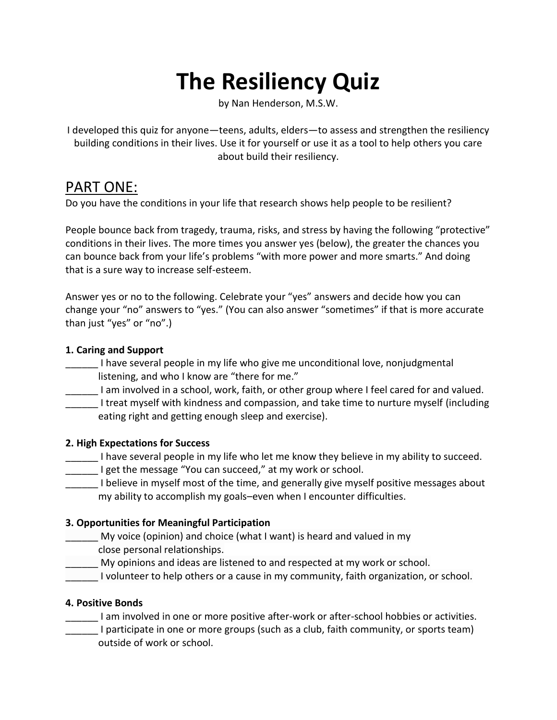# **The Resiliency Quiz**

by Nan Henderson, M.S.W.

I developed this quiz for anyone—teens, adults, elders—to assess and strengthen the resiliency building conditions in their lives. Use it for yourself or use it as a tool to help others you care about build their resiliency.

## PART ONE:

Do you have the conditions in your life that research shows help people to be resilient?

People bounce back from tragedy, trauma, risks, and stress by having the following "protective" conditions in their lives. The more times you answer yes (below), the greater the chances you can bounce back from your life's problems "with more power and more smarts." And doing that is a sure way to increase self-esteem.

Answer yes or no to the following. Celebrate your "yes" answers and decide how you can change your "no" answers to "yes." (You can also answer "sometimes" if that is more accurate than just "yes" or "no".)

#### **1. Caring and Support**

- \_\_\_\_\_\_ I have several people in my life who give me unconditional love, nonjudgmental listening, and who I know are "there for me."
- I am involved in a school, work, faith, or other group where I feel cared for and valued.
- \_\_\_\_\_\_ I treat myself with kindness and compassion, and take time to nurture myself (including eating right and getting enough sleep and exercise).

#### **2. High Expectations for Success**

- I have several people in my life who let me know they believe in my ability to succeed.
- **\_\_\_\_\_** I get the message "You can succeed," at my work or school.
- I believe in myself most of the time, and generally give myself positive messages about my ability to accomplish my goals–even when I encounter difficulties.

#### **3. Opportunities for Meaningful Participation**

- \_\_\_\_\_\_ My voice (opinion) and choice (what I want) is heard and valued in my close personal relationships.
- \_\_\_\_\_\_ My opinions and ideas are listened to and respected at my work or school.

I volunteer to help others or a cause in my community, faith organization, or school.

#### **4. Positive Bonds**

- I am involved in one or more positive after-work or after-school hobbies or activities.
- I participate in one or more groups (such as a club, faith community, or sports team) outside of work or school.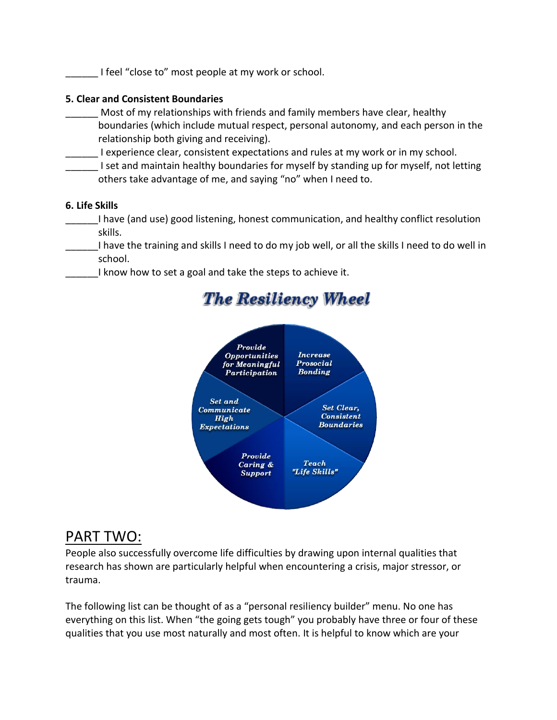I feel "close to" most people at my work or school.

#### **5. Clear and Consistent Boundaries**

Most of my relationships with friends and family members have clear, healthy boundaries (which include mutual respect, personal autonomy, and each person in the relationship both giving and receiving).

I experience clear, consistent expectations and rules at my work or in my school.

I set and maintain healthy boundaries for myself by standing up for myself, not letting others take advantage of me, and saying "no" when I need to.

#### **6. Life Skills**

\_\_\_\_\_\_I have (and use) good listening, honest communication, and healthy conflict resolution skills.

I have the training and skills I need to do my job well, or all the skills I need to do well in school.

I know how to set a goal and take the steps to achieve it.



# **The Resiliency Wheel**

### PART TWO:

People also successfully overcome life difficulties by drawing upon internal qualities that research has shown are particularly helpful when encountering a crisis, major stressor, or trauma.

The following list can be thought of as a "personal resiliency builder" menu. No one has everything on this list. When "the going gets tough" you probably have three or four of these qualities that you use most naturally and most often. It is helpful to know which are your